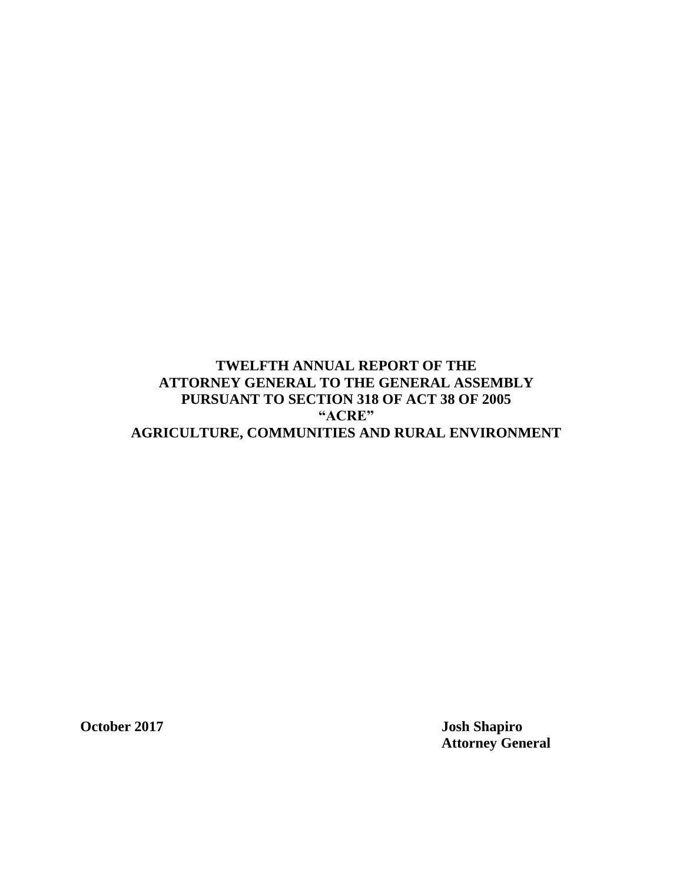# **TWELFTH ANNUAL REPORT OF THE ATTORNEY GENERAL TO THE GENERAL ASSEMBLY PURSUANT TO SECTION 318 OF ACT 38 OF 2005 "ACRE" AGRICULTURE, COMMUNITIES AND RURAL ENVIRONMENT**

**October 2017 Josh Shapiro Attorney General**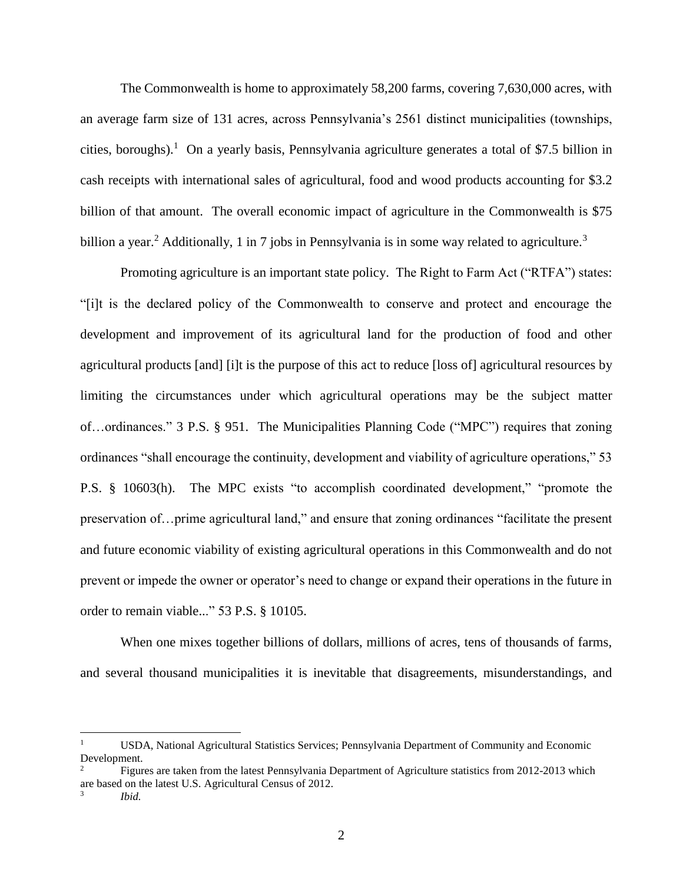The Commonwealth is home to approximately 58,200 farms, covering 7,630,000 acres, with an average farm size of 131 acres, across Pennsylvania's 2561 distinct municipalities (townships, cities, boroughs).<sup>1</sup> On a yearly basis, Pennsylvania agriculture generates a total of \$7.5 billion in cash receipts with international sales of agricultural, food and wood products accounting for \$3.2 billion of that amount. The overall economic impact of agriculture in the Commonwealth is \$75 billion a year.<sup>2</sup> Additionally, 1 in 7 jobs in Pennsylvania is in some way related to agriculture.<sup>3</sup>

Promoting agriculture is an important state policy. The Right to Farm Act ("RTFA") states: "[i]t is the declared policy of the Commonwealth to conserve and protect and encourage the development and improvement of its agricultural land for the production of food and other agricultural products [and] [i]t is the purpose of this act to reduce [loss of] agricultural resources by limiting the circumstances under which agricultural operations may be the subject matter of…ordinances." 3 P.S. § 951. The Municipalities Planning Code ("MPC") requires that zoning ordinances "shall encourage the continuity, development and viability of agriculture operations," 53 P.S. § 10603(h). The MPC exists "to accomplish coordinated development," "promote the preservation of…prime agricultural land," and ensure that zoning ordinances "facilitate the present and future economic viability of existing agricultural operations in this Commonwealth and do not prevent or impede the owner or operator's need to change or expand their operations in the future in order to remain viable..." 53 P.S. § 10105.

When one mixes together billions of dollars, millions of acres, tens of thousands of farms, and several thousand municipalities it is inevitable that disagreements, misunderstandings, and

 $\overline{a}$ 

<sup>1</sup> USDA, National Agricultural Statistics Services; Pennsylvania Department of Community and Economic Development.<br> $\frac{2}{\pi}$ Eigur

<sup>2</sup> Figures are taken from the latest Pennsylvania Department of Agriculture statistics from 2012-2013 which are based on the latest U.S. Agricultural Census of 2012.

<sup>3</sup> *Ibid.*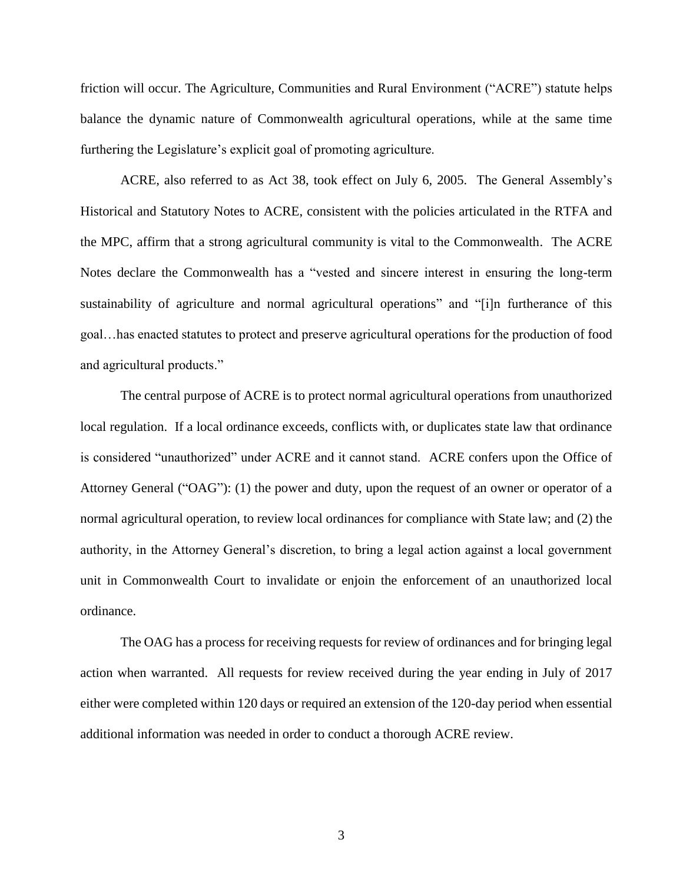friction will occur. The Agriculture, Communities and Rural Environment ("ACRE") statute helps balance the dynamic nature of Commonwealth agricultural operations, while at the same time furthering the Legislature's explicit goal of promoting agriculture.

ACRE, also referred to as Act 38, took effect on July 6, 2005. The General Assembly's Historical and Statutory Notes to ACRE, consistent with the policies articulated in the RTFA and the MPC, affirm that a strong agricultural community is vital to the Commonwealth. The ACRE Notes declare the Commonwealth has a "vested and sincere interest in ensuring the long-term sustainability of agriculture and normal agricultural operations" and "[i]n furtherance of this goal…has enacted statutes to protect and preserve agricultural operations for the production of food and agricultural products."

The central purpose of ACRE is to protect normal agricultural operations from unauthorized local regulation. If a local ordinance exceeds, conflicts with, or duplicates state law that ordinance is considered "unauthorized" under ACRE and it cannot stand. ACRE confers upon the Office of Attorney General ("OAG"): (1) the power and duty, upon the request of an owner or operator of a normal agricultural operation, to review local ordinances for compliance with State law; and (2) the authority, in the Attorney General's discretion, to bring a legal action against a local government unit in Commonwealth Court to invalidate or enjoin the enforcement of an unauthorized local ordinance.

The OAG has a process for receiving requests for review of ordinances and for bringing legal action when warranted. All requests for review received during the year ending in July of 2017 either were completed within 120 days or required an extension of the 120-day period when essential additional information was needed in order to conduct a thorough ACRE review.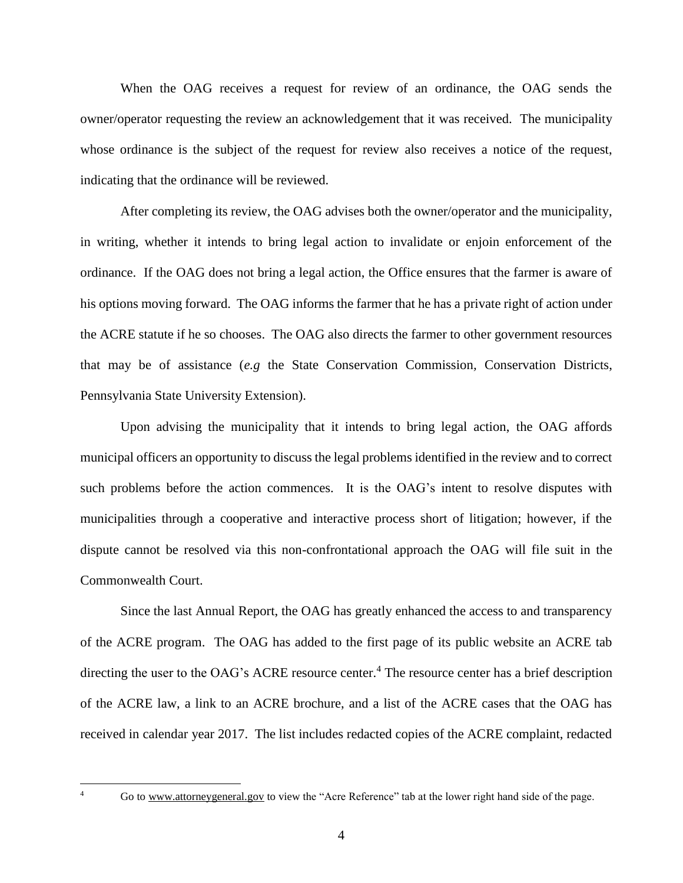When the OAG receives a request for review of an ordinance, the OAG sends the owner/operator requesting the review an acknowledgement that it was received. The municipality whose ordinance is the subject of the request for review also receives a notice of the request, indicating that the ordinance will be reviewed.

After completing its review, the OAG advises both the owner/operator and the municipality, in writing, whether it intends to bring legal action to invalidate or enjoin enforcement of the ordinance. If the OAG does not bring a legal action, the Office ensures that the farmer is aware of his options moving forward. The OAG informs the farmer that he has a private right of action under the ACRE statute if he so chooses. The OAG also directs the farmer to other government resources that may be of assistance (*e.g* the State Conservation Commission*,* Conservation Districts, Pennsylvania State University Extension).

Upon advising the municipality that it intends to bring legal action, the OAG affords municipal officers an opportunity to discuss the legal problems identified in the review and to correct such problems before the action commences. It is the OAG's intent to resolve disputes with municipalities through a cooperative and interactive process short of litigation; however, if the dispute cannot be resolved via this non-confrontational approach the OAG will file suit in the Commonwealth Court.

Since the last Annual Report, the OAG has greatly enhanced the access to and transparency of the ACRE program. The OAG has added to the first page of its public website an ACRE tab directing the user to the OAG's ACRE resource center.<sup>4</sup> The resource center has a brief description of the ACRE law, a link to an ACRE brochure, and a list of the ACRE cases that the OAG has received in calendar year 2017. The list includes redacted copies of the ACRE complaint, redacted

 $\overline{A}$ 

Go to [www.attorneygeneral.gov](http://www.attorneygeneral.gov/) to view the "Acre Reference" tab at the lower right hand side of the page.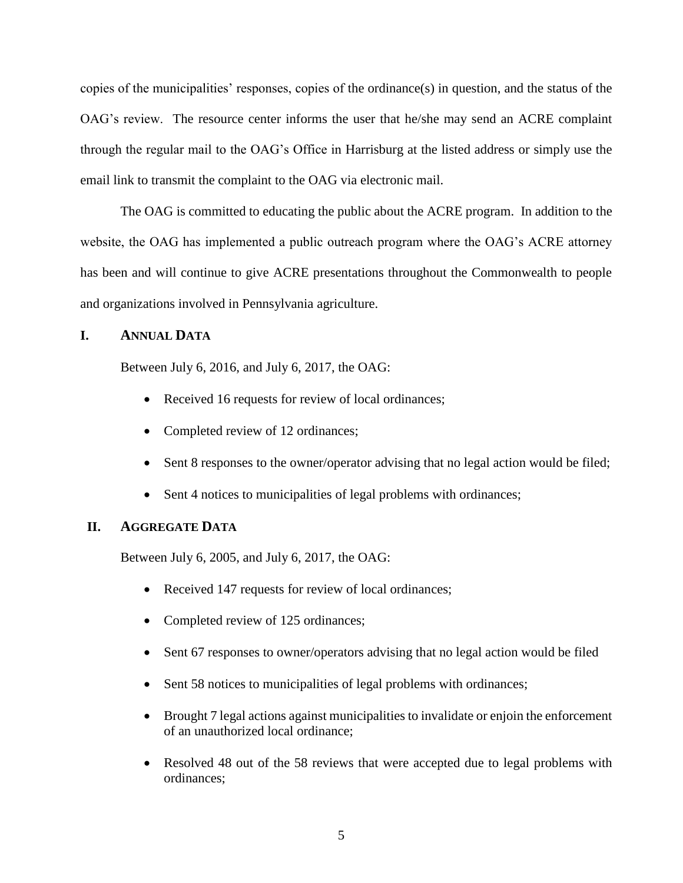copies of the municipalities' responses, copies of the ordinance(s) in question, and the status of the OAG's review. The resource center informs the user that he/she may send an ACRE complaint through the regular mail to the OAG's Office in Harrisburg at the listed address or simply use the email link to transmit the complaint to the OAG via electronic mail.

The OAG is committed to educating the public about the ACRE program. In addition to the website, the OAG has implemented a public outreach program where the OAG's ACRE attorney has been and will continue to give ACRE presentations throughout the Commonwealth to people and organizations involved in Pennsylvania agriculture.

## **I. ANNUAL DATA**

Between July 6, 2016, and July 6, 2017, the OAG:

- Received 16 requests for review of local ordinances;
- Completed review of 12 ordinances;
- Sent 8 responses to the owner/operator advising that no legal action would be filed;
- Sent 4 notices to municipalities of legal problems with ordinances;

## **II. AGGREGATE DATA**

Between July 6, 2005, and July 6, 2017, the OAG:

- Received 147 requests for review of local ordinances;
- Completed review of 125 ordinances;
- Sent 67 responses to owner/operators advising that no legal action would be filed
- Sent 58 notices to municipalities of legal problems with ordinances;
- Brought 7 legal actions against municipalities to invalidate or enjoin the enforcement of an unauthorized local ordinance;
- Resolved 48 out of the 58 reviews that were accepted due to legal problems with ordinances;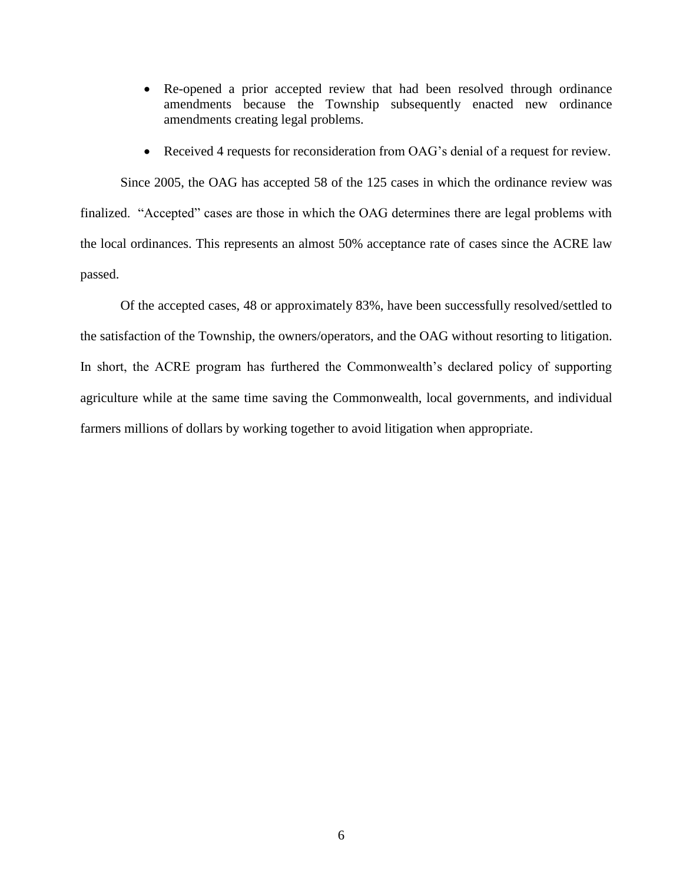- Re-opened a prior accepted review that had been resolved through ordinance amendments because the Township subsequently enacted new ordinance amendments creating legal problems.
- Received 4 requests for reconsideration from OAG's denial of a request for review.

Since 2005, the OAG has accepted 58 of the 125 cases in which the ordinance review was finalized. "Accepted" cases are those in which the OAG determines there are legal problems with the local ordinances. This represents an almost 50% acceptance rate of cases since the ACRE law passed.

Of the accepted cases, 48 or approximately 83%, have been successfully resolved/settled to the satisfaction of the Township, the owners/operators, and the OAG without resorting to litigation. In short, the ACRE program has furthered the Commonwealth's declared policy of supporting agriculture while at the same time saving the Commonwealth, local governments, and individual farmers millions of dollars by working together to avoid litigation when appropriate.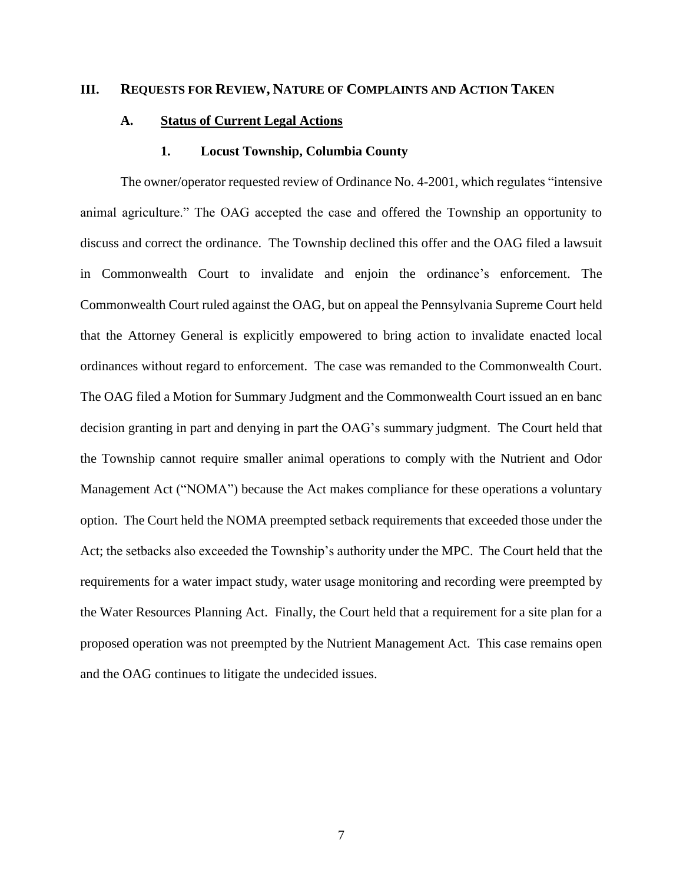#### **III. REQUESTS FOR REVIEW, NATURE OF COMPLAINTS AND ACTION TAKEN**

### **A. Status of Current Legal Actions**

#### **1. Locust Township, Columbia County**

The owner/operator requested review of Ordinance No. 4-2001, which regulates "intensive animal agriculture." The OAG accepted the case and offered the Township an opportunity to discuss and correct the ordinance. The Township declined this offer and the OAG filed a lawsuit in Commonwealth Court to invalidate and enjoin the ordinance's enforcement. The Commonwealth Court ruled against the OAG, but on appeal the Pennsylvania Supreme Court held that the Attorney General is explicitly empowered to bring action to invalidate enacted local ordinances without regard to enforcement. The case was remanded to the Commonwealth Court. The OAG filed a Motion for Summary Judgment and the Commonwealth Court issued an en banc decision granting in part and denying in part the OAG's summary judgment. The Court held that the Township cannot require smaller animal operations to comply with the Nutrient and Odor Management Act ("NOMA") because the Act makes compliance for these operations a voluntary option. The Court held the NOMA preempted setback requirements that exceeded those under the Act; the setbacks also exceeded the Township's authority under the MPC. The Court held that the requirements for a water impact study, water usage monitoring and recording were preempted by the Water Resources Planning Act. Finally, the Court held that a requirement for a site plan for a proposed operation was not preempted by the Nutrient Management Act. This case remains open and the OAG continues to litigate the undecided issues.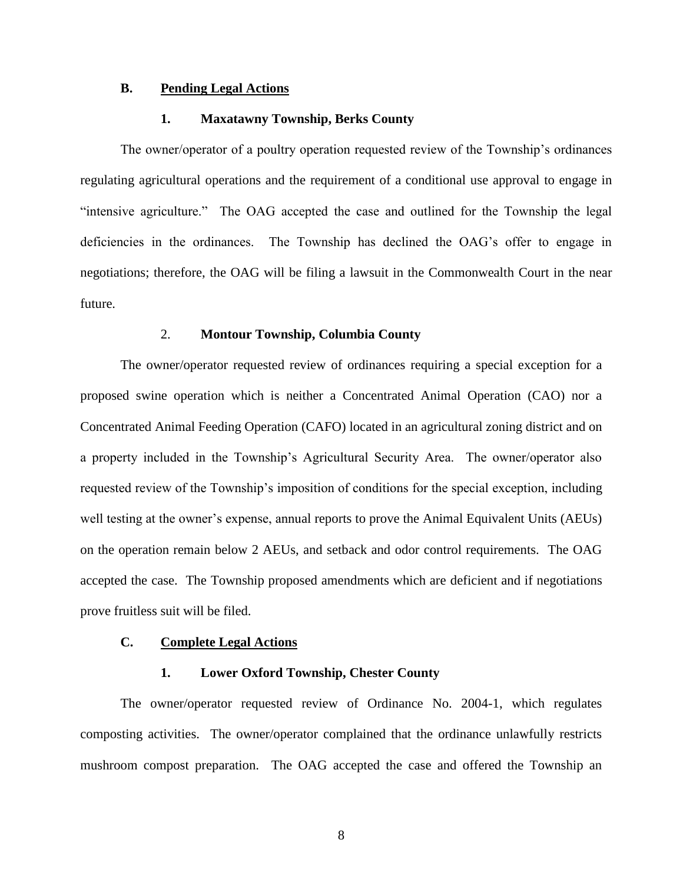## **B. Pending Legal Actions**

#### **1. Maxatawny Township, Berks County**

The owner/operator of a poultry operation requested review of the Township's ordinances regulating agricultural operations and the requirement of a conditional use approval to engage in "intensive agriculture." The OAG accepted the case and outlined for the Township the legal deficiencies in the ordinances. The Township has declined the OAG's offer to engage in negotiations; therefore, the OAG will be filing a lawsuit in the Commonwealth Court in the near future.

#### 2. **Montour Township, Columbia County**

The owner/operator requested review of ordinances requiring a special exception for a proposed swine operation which is neither a Concentrated Animal Operation (CAO) nor a Concentrated Animal Feeding Operation (CAFO) located in an agricultural zoning district and on a property included in the Township's Agricultural Security Area. The owner/operator also requested review of the Township's imposition of conditions for the special exception, including well testing at the owner's expense, annual reports to prove the Animal Equivalent Units (AEUs) on the operation remain below 2 AEUs, and setback and odor control requirements. The OAG accepted the case. The Township proposed amendments which are deficient and if negotiations prove fruitless suit will be filed.

## **C. Complete Legal Actions**

#### **1. Lower Oxford Township, Chester County**

The owner/operator requested review of Ordinance No. 2004-1, which regulates composting activities. The owner/operator complained that the ordinance unlawfully restricts mushroom compost preparation. The OAG accepted the case and offered the Township an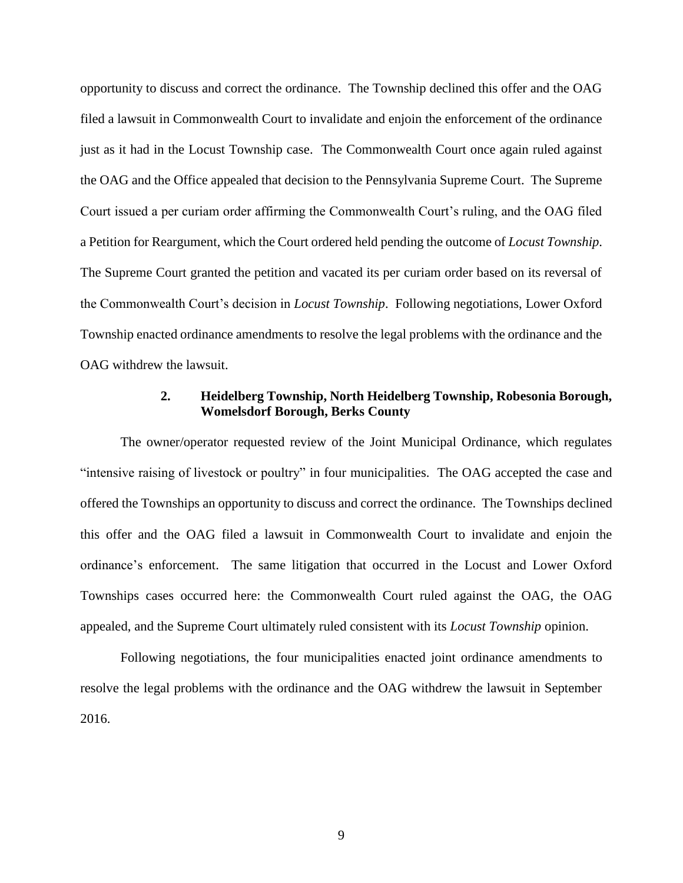opportunity to discuss and correct the ordinance. The Township declined this offer and the OAG filed a lawsuit in Commonwealth Court to invalidate and enjoin the enforcement of the ordinance just as it had in the Locust Township case. The Commonwealth Court once again ruled against the OAG and the Office appealed that decision to the Pennsylvania Supreme Court. The Supreme Court issued a per curiam order affirming the Commonwealth Court's ruling, and the OAG filed a Petition for Reargument, which the Court ordered held pending the outcome of *Locust Township*. The Supreme Court granted the petition and vacated its per curiam order based on its reversal of the Commonwealth Court's decision in *Locust Township*. Following negotiations, Lower Oxford Township enacted ordinance amendments to resolve the legal problems with the ordinance and the OAG withdrew the lawsuit.

## **2. Heidelberg Township, North Heidelberg Township, Robesonia Borough, Womelsdorf Borough, Berks County**

The owner/operator requested review of the Joint Municipal Ordinance, which regulates "intensive raising of livestock or poultry" in four municipalities. The OAG accepted the case and offered the Townships an opportunity to discuss and correct the ordinance. The Townships declined this offer and the OAG filed a lawsuit in Commonwealth Court to invalidate and enjoin the ordinance's enforcement. The same litigation that occurred in the Locust and Lower Oxford Townships cases occurred here: the Commonwealth Court ruled against the OAG, the OAG appealed, and the Supreme Court ultimately ruled consistent with its *Locust Township* opinion.

Following negotiations, the four municipalities enacted joint ordinance amendments to resolve the legal problems with the ordinance and the OAG withdrew the lawsuit in September 2016.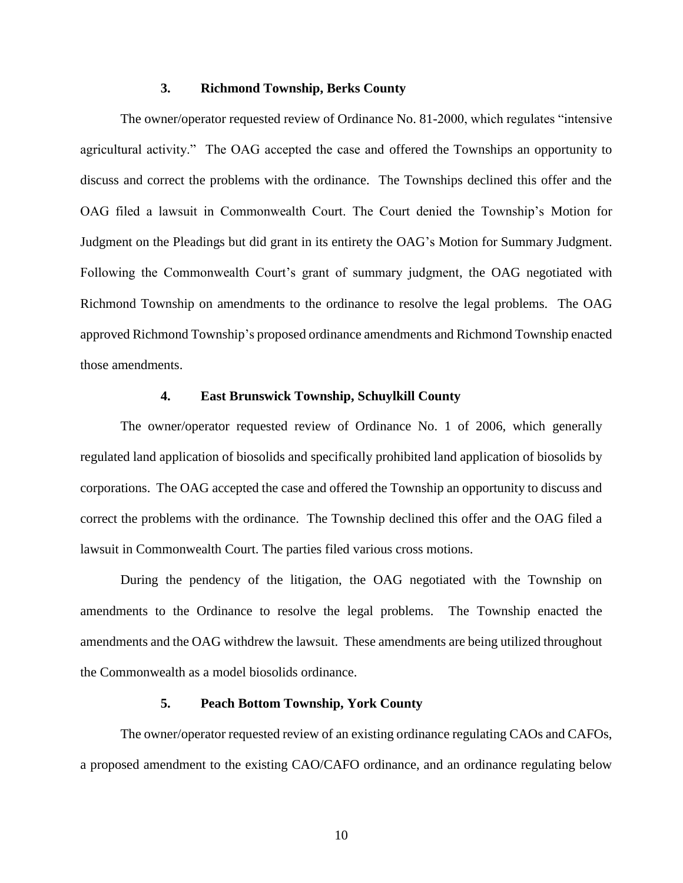## **3. Richmond Township, Berks County**

The owner/operator requested review of Ordinance No. 81-2000, which regulates "intensive agricultural activity." The OAG accepted the case and offered the Townships an opportunity to discuss and correct the problems with the ordinance. The Townships declined this offer and the OAG filed a lawsuit in Commonwealth Court. The Court denied the Township's Motion for Judgment on the Pleadings but did grant in its entirety the OAG's Motion for Summary Judgment. Following the Commonwealth Court's grant of summary judgment, the OAG negotiated with Richmond Township on amendments to the ordinance to resolve the legal problems. The OAG approved Richmond Township's proposed ordinance amendments and Richmond Township enacted those amendments.

### **4. East Brunswick Township, Schuylkill County**

The owner/operator requested review of Ordinance No. 1 of 2006, which generally regulated land application of biosolids and specifically prohibited land application of biosolids by corporations. The OAG accepted the case and offered the Township an opportunity to discuss and correct the problems with the ordinance. The Township declined this offer and the OAG filed a lawsuit in Commonwealth Court. The parties filed various cross motions.

During the pendency of the litigation, the OAG negotiated with the Township on amendments to the Ordinance to resolve the legal problems. The Township enacted the amendments and the OAG withdrew the lawsuit. These amendments are being utilized throughout the Commonwealth as a model biosolids ordinance.

## **5. Peach Bottom Township, York County**

The owner/operator requested review of an existing ordinance regulating CAOs and CAFOs, a proposed amendment to the existing CAO/CAFO ordinance, and an ordinance regulating below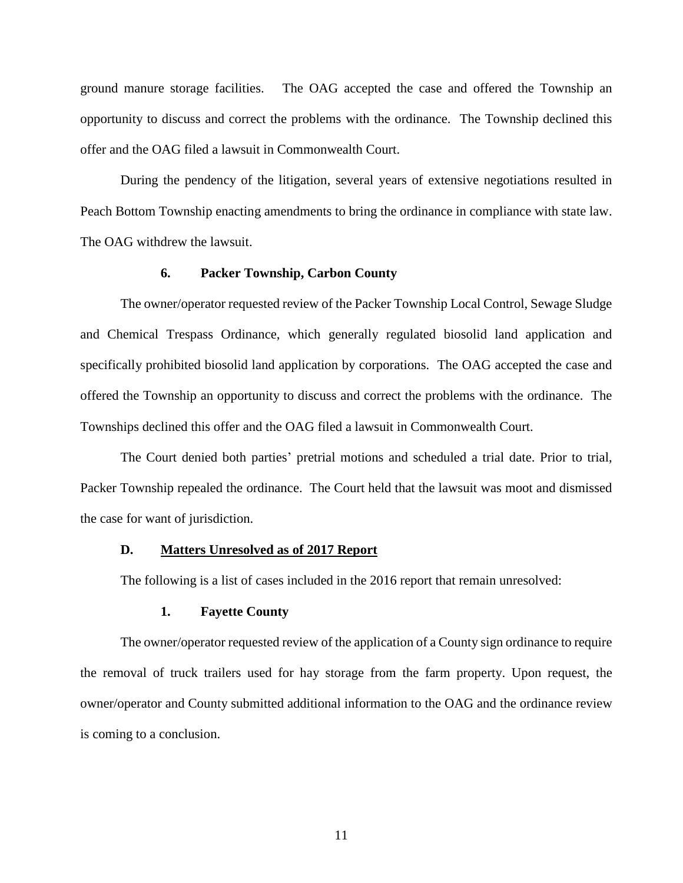ground manure storage facilities. The OAG accepted the case and offered the Township an opportunity to discuss and correct the problems with the ordinance. The Township declined this offer and the OAG filed a lawsuit in Commonwealth Court.

During the pendency of the litigation, several years of extensive negotiations resulted in Peach Bottom Township enacting amendments to bring the ordinance in compliance with state law. The OAG withdrew the lawsuit.

### **6. Packer Township, Carbon County**

The owner/operator requested review of the Packer Township Local Control, Sewage Sludge and Chemical Trespass Ordinance, which generally regulated biosolid land application and specifically prohibited biosolid land application by corporations. The OAG accepted the case and offered the Township an opportunity to discuss and correct the problems with the ordinance. The Townships declined this offer and the OAG filed a lawsuit in Commonwealth Court.

The Court denied both parties' pretrial motions and scheduled a trial date. Prior to trial, Packer Township repealed the ordinance. The Court held that the lawsuit was moot and dismissed the case for want of jurisdiction.

## **D. Matters Unresolved as of 2017 Report**

The following is a list of cases included in the 2016 report that remain unresolved:

## **1. Fayette County**

The owner/operator requested review of the application of a County sign ordinance to require the removal of truck trailers used for hay storage from the farm property. Upon request, the owner/operator and County submitted additional information to the OAG and the ordinance review is coming to a conclusion.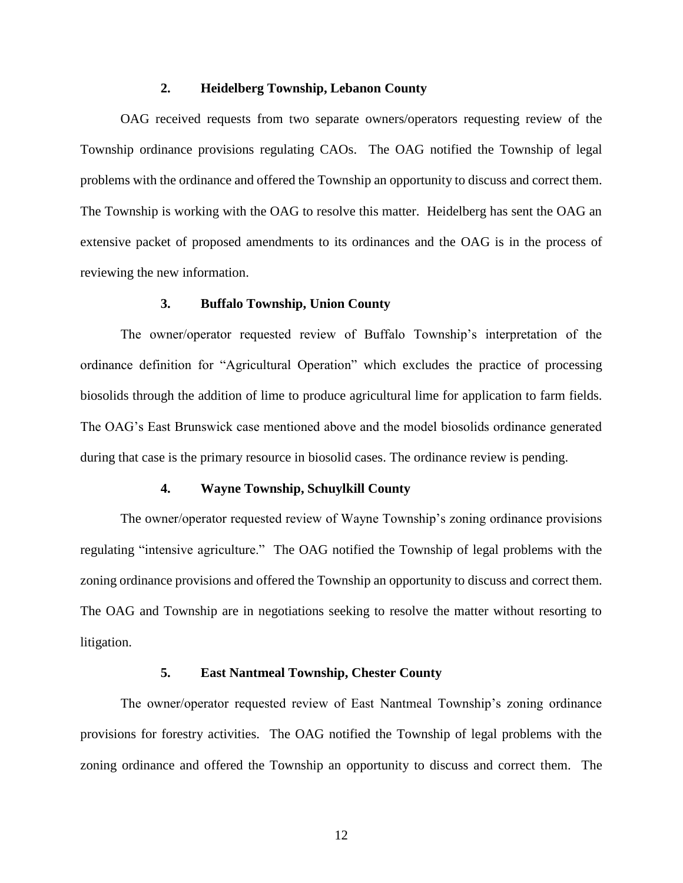## **2. Heidelberg Township, Lebanon County**

OAG received requests from two separate owners/operators requesting review of the Township ordinance provisions regulating CAOs. The OAG notified the Township of legal problems with the ordinance and offered the Township an opportunity to discuss and correct them. The Township is working with the OAG to resolve this matter. Heidelberg has sent the OAG an extensive packet of proposed amendments to its ordinances and the OAG is in the process of reviewing the new information.

### **3. Buffalo Township, Union County**

The owner/operator requested review of Buffalo Township's interpretation of the ordinance definition for "Agricultural Operation" which excludes the practice of processing biosolids through the addition of lime to produce agricultural lime for application to farm fields. The OAG's East Brunswick case mentioned above and the model biosolids ordinance generated during that case is the primary resource in biosolid cases. The ordinance review is pending.

## **4. Wayne Township, Schuylkill County**

The owner/operator requested review of Wayne Township's zoning ordinance provisions regulating "intensive agriculture." The OAG notified the Township of legal problems with the zoning ordinance provisions and offered the Township an opportunity to discuss and correct them. The OAG and Township are in negotiations seeking to resolve the matter without resorting to litigation.

## **5. East Nantmeal Township, Chester County**

The owner/operator requested review of East Nantmeal Township's zoning ordinance provisions for forestry activities. The OAG notified the Township of legal problems with the zoning ordinance and offered the Township an opportunity to discuss and correct them. The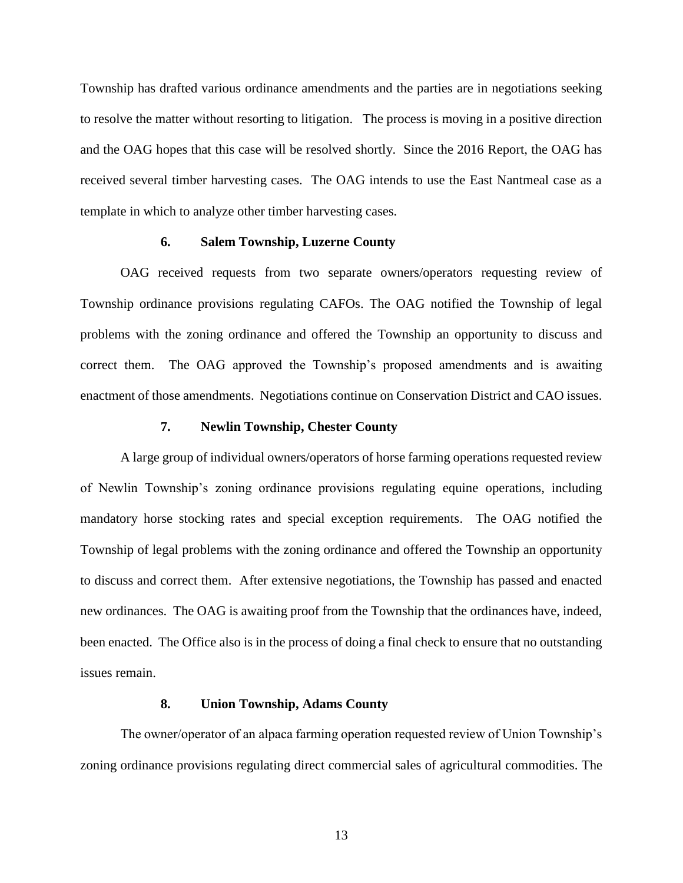Township has drafted various ordinance amendments and the parties are in negotiations seeking to resolve the matter without resorting to litigation. The process is moving in a positive direction and the OAG hopes that this case will be resolved shortly. Since the 2016 Report, the OAG has received several timber harvesting cases. The OAG intends to use the East Nantmeal case as a template in which to analyze other timber harvesting cases.

### **6. Salem Township, Luzerne County**

OAG received requests from two separate owners/operators requesting review of Township ordinance provisions regulating CAFOs. The OAG notified the Township of legal problems with the zoning ordinance and offered the Township an opportunity to discuss and correct them. The OAG approved the Township's proposed amendments and is awaiting enactment of those amendments. Negotiations continue on Conservation District and CAO issues.

#### **7. Newlin Township, Chester County**

A large group of individual owners/operators of horse farming operations requested review of Newlin Township's zoning ordinance provisions regulating equine operations, including mandatory horse stocking rates and special exception requirements. The OAG notified the Township of legal problems with the zoning ordinance and offered the Township an opportunity to discuss and correct them. After extensive negotiations, the Township has passed and enacted new ordinances. The OAG is awaiting proof from the Township that the ordinances have, indeed, been enacted. The Office also is in the process of doing a final check to ensure that no outstanding issues remain.

#### **8. Union Township, Adams County**

The owner/operator of an alpaca farming operation requested review of Union Township's zoning ordinance provisions regulating direct commercial sales of agricultural commodities. The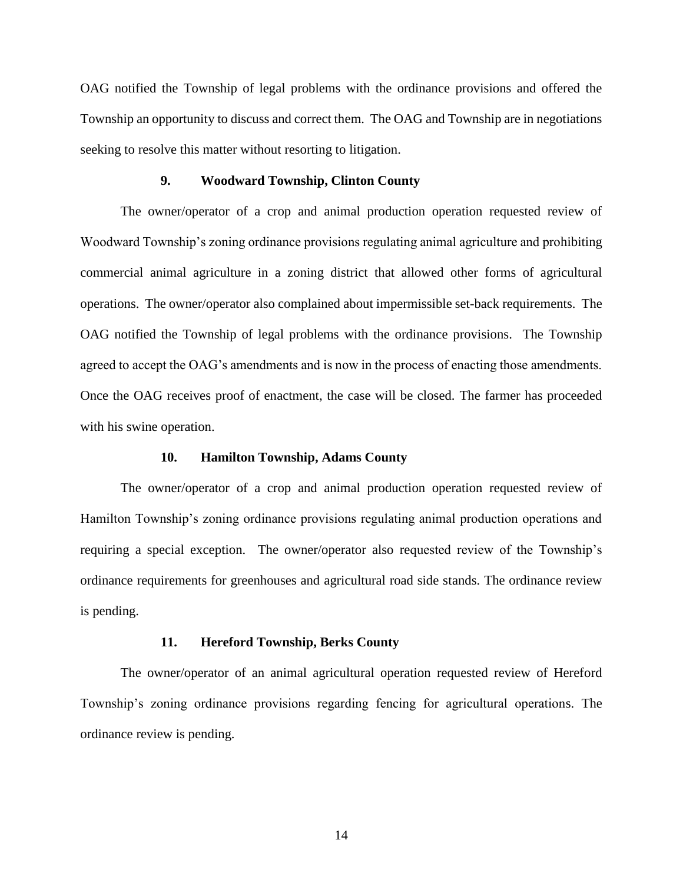OAG notified the Township of legal problems with the ordinance provisions and offered the Township an opportunity to discuss and correct them. The OAG and Township are in negotiations seeking to resolve this matter without resorting to litigation.

#### **9. Woodward Township, Clinton County**

The owner/operator of a crop and animal production operation requested review of Woodward Township's zoning ordinance provisions regulating animal agriculture and prohibiting commercial animal agriculture in a zoning district that allowed other forms of agricultural operations. The owner/operator also complained about impermissible set-back requirements. The OAG notified the Township of legal problems with the ordinance provisions. The Township agreed to accept the OAG's amendments and is now in the process of enacting those amendments. Once the OAG receives proof of enactment, the case will be closed. The farmer has proceeded with his swine operation.

### **10. Hamilton Township, Adams County**

The owner/operator of a crop and animal production operation requested review of Hamilton Township's zoning ordinance provisions regulating animal production operations and requiring a special exception. The owner/operator also requested review of the Township's ordinance requirements for greenhouses and agricultural road side stands. The ordinance review is pending.

#### **11. Hereford Township, Berks County**

The owner/operator of an animal agricultural operation requested review of Hereford Township's zoning ordinance provisions regarding fencing for agricultural operations. The ordinance review is pending.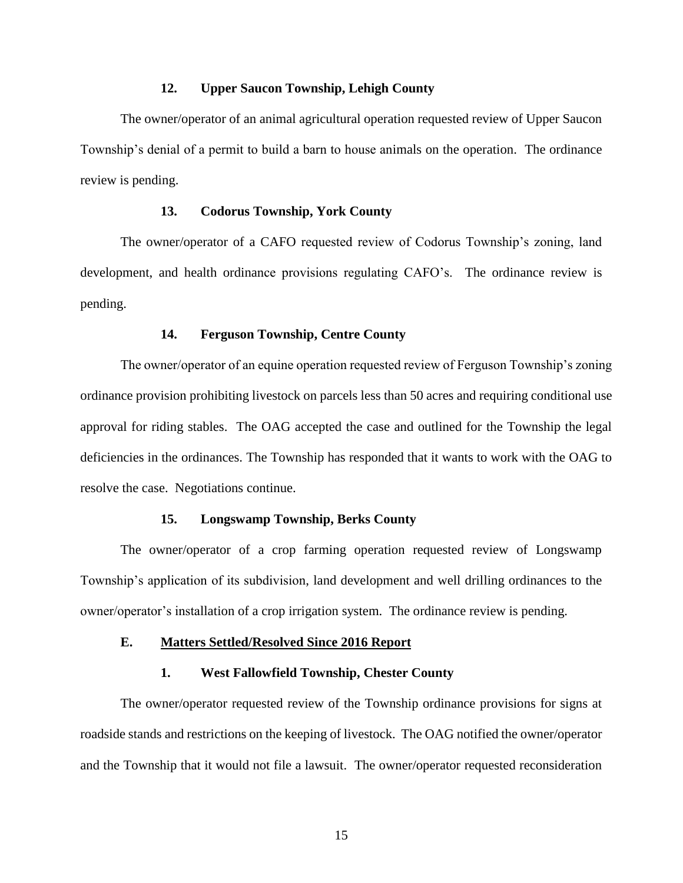## **12. Upper Saucon Township, Lehigh County**

The owner/operator of an animal agricultural operation requested review of Upper Saucon Township's denial of a permit to build a barn to house animals on the operation. The ordinance review is pending.

## **13. Codorus Township, York County**

The owner/operator of a CAFO requested review of Codorus Township's zoning, land development, and health ordinance provisions regulating CAFO's. The ordinance review is pending.

### **14. Ferguson Township, Centre County**

The owner/operator of an equine operation requested review of Ferguson Township's zoning ordinance provision prohibiting livestock on parcels less than 50 acres and requiring conditional use approval for riding stables. The OAG accepted the case and outlined for the Township the legal deficiencies in the ordinances. The Township has responded that it wants to work with the OAG to resolve the case. Negotiations continue.

## **15. Longswamp Township, Berks County**

The owner/operator of a crop farming operation requested review of Longswamp Township's application of its subdivision, land development and well drilling ordinances to the owner/operator's installation of a crop irrigation system. The ordinance review is pending.

## **E. Matters Settled/Resolved Since 2016 Report**

#### **1. West Fallowfield Township, Chester County**

The owner/operator requested review of the Township ordinance provisions for signs at roadside stands and restrictions on the keeping of livestock. The OAG notified the owner/operator and the Township that it would not file a lawsuit. The owner/operator requested reconsideration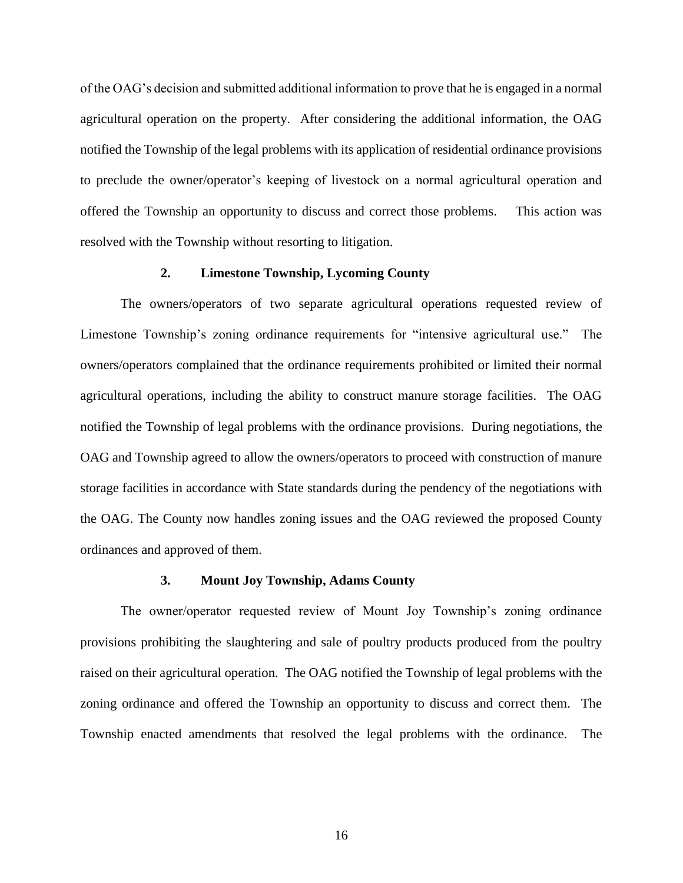of the OAG's decision and submitted additional information to prove that he is engaged in a normal agricultural operation on the property. After considering the additional information, the OAG notified the Township of the legal problems with its application of residential ordinance provisions to preclude the owner/operator's keeping of livestock on a normal agricultural operation and offered the Township an opportunity to discuss and correct those problems. This action was resolved with the Township without resorting to litigation.

## **2. Limestone Township, Lycoming County**

The owners/operators of two separate agricultural operations requested review of Limestone Township's zoning ordinance requirements for "intensive agricultural use." The owners/operators complained that the ordinance requirements prohibited or limited their normal agricultural operations, including the ability to construct manure storage facilities. The OAG notified the Township of legal problems with the ordinance provisions. During negotiations, the OAG and Township agreed to allow the owners/operators to proceed with construction of manure storage facilities in accordance with State standards during the pendency of the negotiations with the OAG. The County now handles zoning issues and the OAG reviewed the proposed County ordinances and approved of them.

#### **3. Mount Joy Township, Adams County**

The owner/operator requested review of Mount Joy Township's zoning ordinance provisions prohibiting the slaughtering and sale of poultry products produced from the poultry raised on their agricultural operation. The OAG notified the Township of legal problems with the zoning ordinance and offered the Township an opportunity to discuss and correct them. The Township enacted amendments that resolved the legal problems with the ordinance. The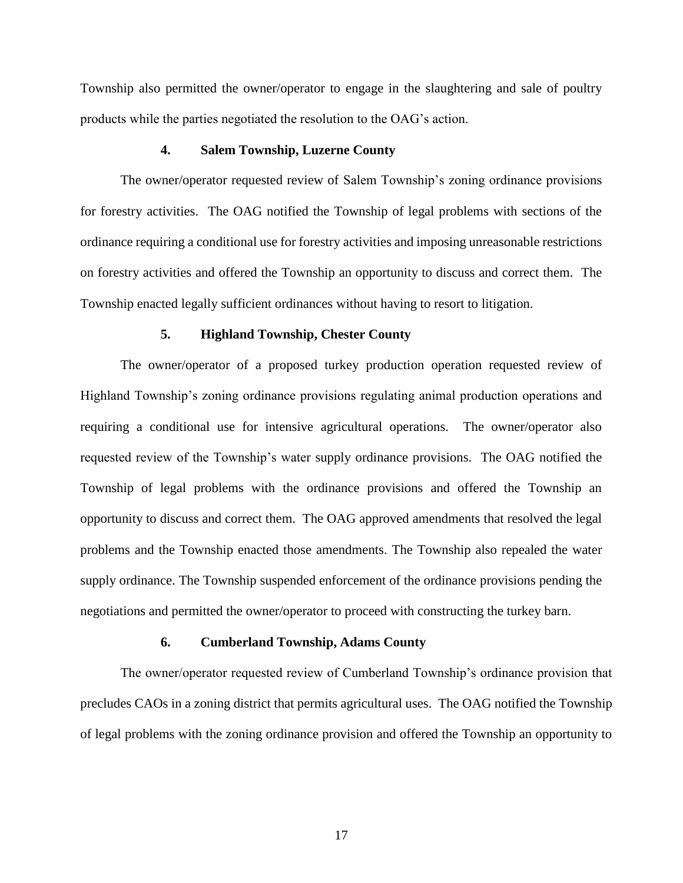Township also permitted the owner/operator to engage in the slaughtering and sale of poultry products while the parties negotiated the resolution to the OAG's action.

#### **4. Salem Township, Luzerne County**

The owner/operator requested review of Salem Township's zoning ordinance provisions for forestry activities. The OAG notified the Township of legal problems with sections of the ordinance requiring a conditional use for forestry activities and imposing unreasonable restrictions on forestry activities and offered the Township an opportunity to discuss and correct them. The Township enacted legally sufficient ordinances without having to resort to litigation.

#### **5. Highland Township, Chester County**

The owner/operator of a proposed turkey production operation requested review of Highland Township's zoning ordinance provisions regulating animal production operations and requiring a conditional use for intensive agricultural operations. The owner/operator also requested review of the Township's water supply ordinance provisions. The OAG notified the Township of legal problems with the ordinance provisions and offered the Township an opportunity to discuss and correct them. The OAG approved amendments that resolved the legal problems and the Township enacted those amendments. The Township also repealed the water supply ordinance. The Township suspended enforcement of the ordinance provisions pending the negotiations and permitted the owner/operator to proceed with constructing the turkey barn.

### **6. Cumberland Township, Adams County**

The owner/operator requested review of Cumberland Township's ordinance provision that precludes CAOs in a zoning district that permits agricultural uses. The OAG notified the Township of legal problems with the zoning ordinance provision and offered the Township an opportunity to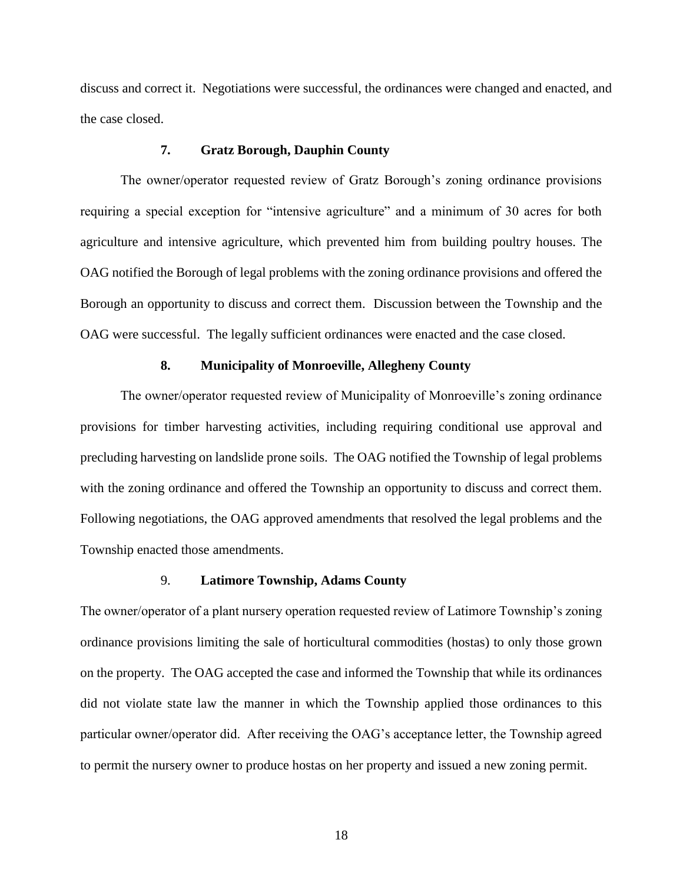discuss and correct it. Negotiations were successful, the ordinances were changed and enacted, and the case closed.

## **7. Gratz Borough, Dauphin County**

The owner/operator requested review of Gratz Borough's zoning ordinance provisions requiring a special exception for "intensive agriculture" and a minimum of 30 acres for both agriculture and intensive agriculture, which prevented him from building poultry houses. The OAG notified the Borough of legal problems with the zoning ordinance provisions and offered the Borough an opportunity to discuss and correct them. Discussion between the Township and the OAG were successful. The legally sufficient ordinances were enacted and the case closed.

## **8. Municipality of Monroeville, Allegheny County**

The owner/operator requested review of Municipality of Monroeville's zoning ordinance provisions for timber harvesting activities, including requiring conditional use approval and precluding harvesting on landslide prone soils. The OAG notified the Township of legal problems with the zoning ordinance and offered the Township an opportunity to discuss and correct them. Following negotiations, the OAG approved amendments that resolved the legal problems and the Township enacted those amendments.

#### 9. **Latimore Township, Adams County**

The owner/operator of a plant nursery operation requested review of Latimore Township's zoning ordinance provisions limiting the sale of horticultural commodities (hostas) to only those grown on the property. The OAG accepted the case and informed the Township that while its ordinances did not violate state law the manner in which the Township applied those ordinances to this particular owner/operator did. After receiving the OAG's acceptance letter, the Township agreed to permit the nursery owner to produce hostas on her property and issued a new zoning permit.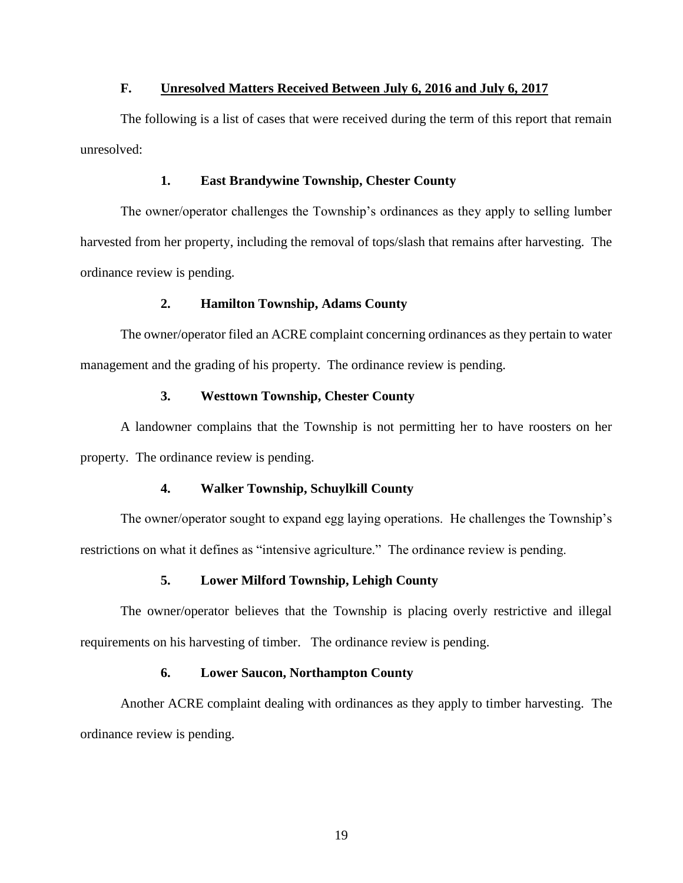## **F. Unresolved Matters Received Between July 6, 2016 and July 6, 2017**

The following is a list of cases that were received during the term of this report that remain unresolved:

## **1. East Brandywine Township, Chester County**

The owner/operator challenges the Township's ordinances as they apply to selling lumber harvested from her property, including the removal of tops/slash that remains after harvesting. The ordinance review is pending.

## **2. Hamilton Township, Adams County**

The owner/operator filed an ACRE complaint concerning ordinances as they pertain to water management and the grading of his property. The ordinance review is pending.

### **3. Westtown Township, Chester County**

A landowner complains that the Township is not permitting her to have roosters on her property. The ordinance review is pending.

## **4. Walker Township, Schuylkill County**

The owner/operator sought to expand egg laying operations. He challenges the Township's restrictions on what it defines as "intensive agriculture." The ordinance review is pending.

## **5. Lower Milford Township, Lehigh County**

The owner/operator believes that the Township is placing overly restrictive and illegal requirements on his harvesting of timber. The ordinance review is pending.

## **6. Lower Saucon, Northampton County**

Another ACRE complaint dealing with ordinances as they apply to timber harvesting. The ordinance review is pending.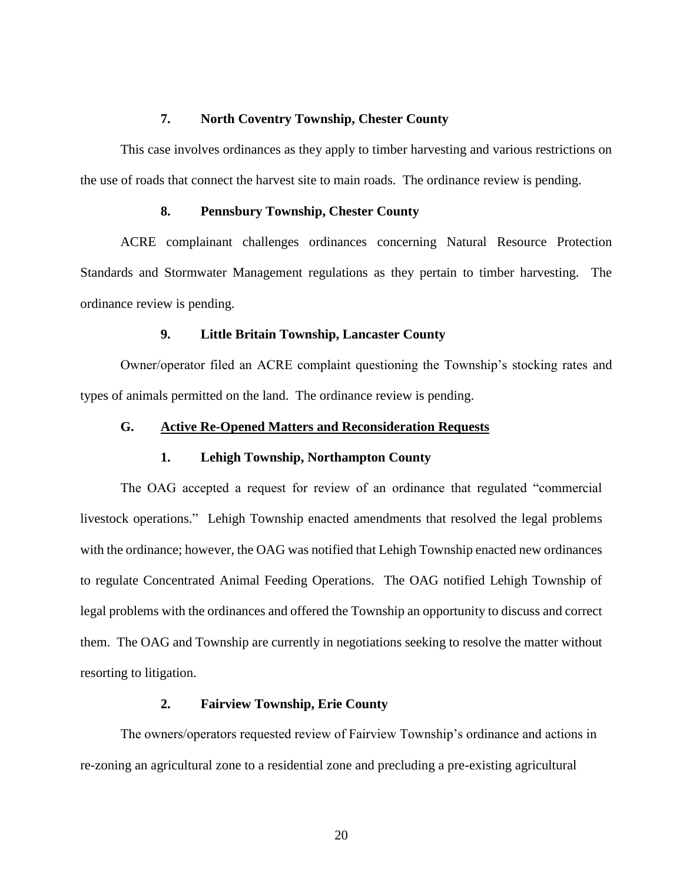## **7. North Coventry Township, Chester County**

This case involves ordinances as they apply to timber harvesting and various restrictions on the use of roads that connect the harvest site to main roads. The ordinance review is pending.

## **8. Pennsbury Township, Chester County**

ACRE complainant challenges ordinances concerning Natural Resource Protection Standards and Stormwater Management regulations as they pertain to timber harvesting. The ordinance review is pending.

## **9. Little Britain Township, Lancaster County**

Owner/operator filed an ACRE complaint questioning the Township's stocking rates and types of animals permitted on the land. The ordinance review is pending.

## **G. Active Re-Opened Matters and Reconsideration Requests**

### **1. Lehigh Township, Northampton County**

The OAG accepted a request for review of an ordinance that regulated "commercial livestock operations." Lehigh Township enacted amendments that resolved the legal problems with the ordinance; however, the OAG was notified that Lehigh Township enacted new ordinances to regulate Concentrated Animal Feeding Operations. The OAG notified Lehigh Township of legal problems with the ordinances and offered the Township an opportunity to discuss and correct them. The OAG and Township are currently in negotiations seeking to resolve the matter without resorting to litigation.

## **2. Fairview Township, Erie County**

The owners/operators requested review of Fairview Township's ordinance and actions in re-zoning an agricultural zone to a residential zone and precluding a pre-existing agricultural